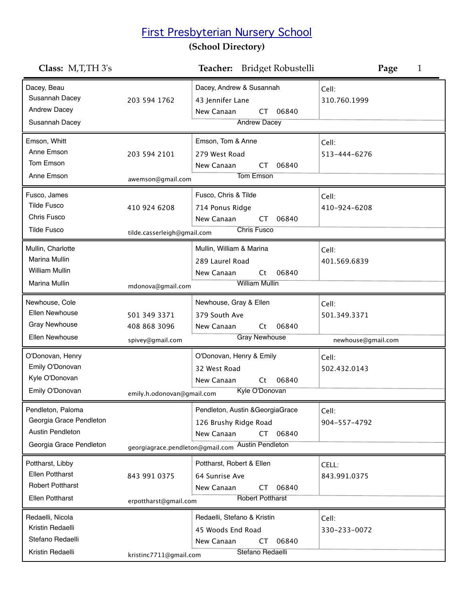## First Presbyterian Nursery School

## **(School Directory)**

| Class: M,T,TH 3's                                                                                  |                                                                  | Bridget Robustelli<br>Teacher:                                                                                                                | Page<br>1                                   |
|----------------------------------------------------------------------------------------------------|------------------------------------------------------------------|-----------------------------------------------------------------------------------------------------------------------------------------------|---------------------------------------------|
| Dacey, Beau<br>Susannah Dacey<br>Andrew Dacey<br>Susannah Dacey                                    | 203 594 1762                                                     | Dacey, Andrew & Susannah<br>43 Jennifer Lane<br>New Canaan<br>06840<br>CT.<br><b>Andrew Dacey</b>                                             | Cell:<br>310.760.1999                       |
| Emson, Whitt<br>Anne Emson<br>Tom Emson<br>Anne Emson                                              | 203 594 2101                                                     | Emson, Tom & Anne<br>279 West Road<br>New Canaan<br>06840<br>CT<br><b>Tom Emson</b>                                                           | Cell:<br>513-444-6276                       |
| Fusco, James<br><b>Tilde Fusco</b><br>Chris Fusco<br><b>Tilde Fusco</b>                            | awemson@gmail.com<br>410 924 6208<br>tilde.casserleigh@gmail.com | Fusco, Chris & Tilde<br>714 Ponus Ridge<br>New Canaan<br>06840<br>CT<br><b>Chris Fusco</b>                                                    | Cell:<br>410-924-6208                       |
| Mullin, Charlotte<br><b>Marina Mullin</b><br><b>William Mullin</b><br>Marina Mullin                | mdonova@gmail.com                                                | Mullin, William & Marina<br>289 Laurel Road<br>06840<br>New Canaan<br>Ct<br><b>William Mullin</b>                                             | Cell:<br>401.569.6839                       |
| Newhouse, Cole<br>Ellen Newhouse<br><b>Gray Newhouse</b><br>Ellen Newhouse                         | 501 349 3371<br>408 868 3096<br>spivey@gmail.com                 | Newhouse, Gray & Ellen<br>379 South Ave<br>New Canaan<br>06840<br>Ct<br><b>Gray Newhouse</b>                                                  | Cell:<br>501.349.3371<br>newhouse@gmail.com |
| O'Donovan, Henry<br>Emily O'Donovan<br>Kyle O'Donovan<br>Emily O'Donovan                           | emily.h.odonovan@gmail.com                                       | O'Donovan, Henry & Emily<br>32 West Road<br>New Canaan<br>06840<br>Ct<br>Kyle O'Donovan                                                       | Cell:<br>502.432.0143                       |
| Pendleton, Paloma<br>Georgia Grace Pendleton<br><b>Austin Pendleton</b><br>Georgia Grace Pendleton |                                                                  | Pendleton, Austin & Georgia Grace<br>126 Brushy Ridge Road<br>New Canaan<br>06840<br>CT.<br>georgiagrace.pendleton@gmail.com Austin Pendleton | Cell:<br>904-557-4792                       |
| Pottharst, Libby<br><b>Ellen Pottharst</b><br><b>Robert Pottharst</b><br><b>Ellen Pottharst</b>    | 843 991 0375<br>erpottharst@gmail.com                            | Pottharst, Robert & Ellen<br>64 Sunrise Ave<br>06840<br>New Canaan<br>CT<br><b>Robert Pottharst</b>                                           | CELL:<br>843.991.0375                       |
| Redaelli, Nicola<br>Kristin Redaelli<br>Stefano Redaelli<br>Kristin Redaelli                       | kristinc7711@gmail.com                                           | Redaelli, Stefano & Kristin<br>45 Woods End Road<br>New Canaan<br>06840<br>CT<br>Stefano Redaelli                                             | Cell:<br>330-233-0072                       |